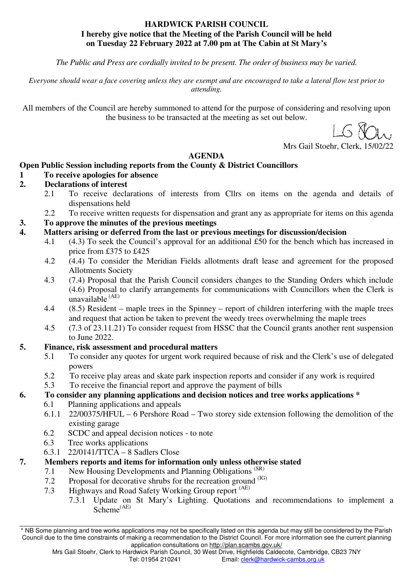### **HARDWICK PARISH COUNCIL I hereby give notice that the Meeting of the Parish Council will be held on Tuesday 22 February 2022 at 7.00 pm at The Cabin at St Mary's**

*The Public and Press are cordially invited to be present. The order of business may be varied.* 

*Everyone should wear a face covering unless they are exempt and are encouraged to take a lateral flow test prior to attending.* 

All members of the Council are hereby summoned to attend for the purpose of considering and resolving upon the business to be transacted at the meeting as set out below.

Mrs Gail Stoehr, Clerk, 15/02/22

### **AGENDA**

### **Open Public Session including reports from the County & District Councillors**

- **1 To receive apologies for absence**
- **2. Declarations of interest** 
	- 2.1 To receive declarations of interests from Cllrs on items on the agenda and details of dispensations held
	- 2.2 To receive written requests for dispensation and grant any as appropriate for items on this agenda
- **3. To approve the minutes of the previous meetings**
- **4. Matters arising or deferred from the last or previous meetings for discussion/decision**
	- 4.1 (4.3) To seek the Council's approval for an additional £50 for the bench which has increased in price from £375 to £425
	- 4.2 (4.4) To consider the Meridian Fields allotments draft lease and agreement for the proposed Allotments Society
	- 4.3 (7.4) Proposal that the Parish Council considers changes to the Standing Orders which include (4.6) Proposal to clarify arrangements for communications with Councillors when the Clerk is unavailable (AE)
	- 4.4 (8.5) Resident maple trees in the Spinney report of children interfering with the maple trees and request that action be taken to prevent the weedy trees overwhelming the maple trees
	- 4.5 (7.3 of 23.11.21) To consider request from HSSC that the Council grants another rent suspension to June 2022.

### **5. Finance, risk assessment and procedural matters**

- 5.1 To consider any quotes for urgent work required because of risk and the Clerk's use of delegated powers
- 5.2 To receive play areas and skate park inspection reports and consider if any work is required
- 5.3 To receive the financial report and approve the payment of bills

### **6. To consider any planning applications and decision notices and tree works applications \***

- 6.1 Planning applications and appeals
- 6.1.1 22/00375/HFUL 6 Pershore Road Two storey side extension following the demolition of the existing garage
- 6.2 SCDC and appeal decision notices to note
- 6.3 Tree works applications
- 6.3.1 22/0141/TTCA 8 Sadlers Close

### **7. Members reports and items for information only unless otherwise stated**

- 7.1 New Housing Developments and Planning Obligations<sup>(SR)</sup>
- 7.2 Proposal for decorative shrubs for the recreation ground (IG)
- 7.3 Highways and Road Safety Working Group report (AE)
	- 7.3.1 Update on St Mary's Lighting. Quotations and recommendations to implement a Scheme(AE)

<sup>\*</sup> NB Some planning and tree works applications may not be specifically listed on this agenda but may still be considered by the Parish Council due to the time constraints of making a recommendation to the District Council. For more information see the current planning application consultations on http://plan.scambs.gov.uk/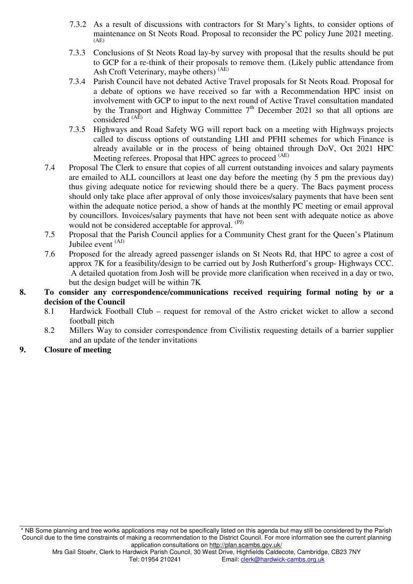- 7.3.2 As a result of discussions with contractors for St Mary's lights, to consider options of maintenance on St Neots Road. Proposal to reconsider the PC policy June 2021 meeting. (AE)
- 7.3.3 Conclusions of St Neots Road lay-by survey with proposal that the results should be put to GCP for a re-think of their proposals to remove them. (Likely public attendance from Ash Croft Veterinary, maybe others) (AE)
- 7.3.4 Parish Council have not debated Active Travel proposals for St Neots Road. Proposal for a debate of options we have received so far with a Recommendation HPC insist on involvement with GCP to input to the next round of Active Travel consultation mandated by the Transport and Highway Committee  $7<sup>th</sup>$  December 2021 so that all options are considered  $(A<sup>\hat{E}</sup>)$
- 7.3.5 Highways and Road Safety WG will report back on a meeting with Highways projects called to discuss options of outstanding LHI and PFHI schemes for which Finance is already available or in the process of being obtained through DoV, Oct 2021 HPC Meeting referees. Proposal that HPC agrees to proceed <sup>(AE)</sup>
- 7.4 Proposal The Clerk to ensure that copies of all current outstanding invoices and salary payments are emailed to ALL councillors at least one day before the meeting (by 5 pm the previous day) thus giving adequate notice for reviewing should there be a query. The Bacs payment process should only take place after approval of only those invoices/salary payments that have been sent within the adequate notice period, a show of hands at the monthly PC meeting or email approval by councillors. Invoices/salary payments that have not been sent with adequate notice as above would not be considered acceptable for approval. (PJ)
- 7.5 Proposal that the Parish Council applies for a Community Chest grant for the Queen's Platinum Jubilee event <sup>(AJ)</sup>
- 7.6 Proposed for the already agreed passenger islands on St Neots Rd, that HPC to agree a cost of approx 7K for a feasibility/design to be carried out by Josh Rutherford's group- Highways CCC. A detailed quotation from Josh will be provide more clarification when received in a day or two, but the design budget will be within 7K
- **8. To consider any correspondence/communications received requiring formal noting by or a decision of the Council** 
	- 8.1 Hardwick Football Club request for removal of the Astro cricket wicket to allow a second football pitch
	- 8.2 Millers Way to consider correspondence from Civilistix requesting details of a barrier supplier and an update of the tender invitations
- **9. Closure of meeting**

<sup>\*</sup> NB Some planning and tree works applications may not be specifically listed on this agenda but may still be considered by the Parish Council due to the time constraints of making a recommendation to the District Council. For more information see the current planning application consultations on http://plan.scambs.gov.uk/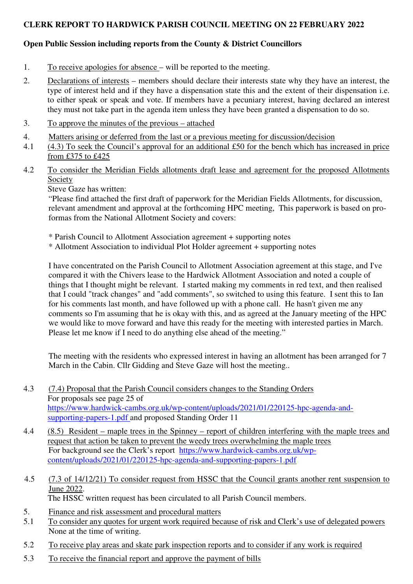### **CLERK REPORT TO HARDWICK PARISH COUNCIL MEETING ON 22 FEBRUARY 2022**

### **Open Public Session including reports from the County & District Councillors**

- 1. To receive apologies for absence will be reported to the meeting.
- 2. Declarations of interests members should declare their interests state why they have an interest, the type of interest held and if they have a dispensation state this and the extent of their dispensation i.e. to either speak or speak and vote. If members have a pecuniary interest, having declared an interest they must not take part in the agenda item unless they have been granted a dispensation to do so.
- 3. To approve the minutes of the previous attached
- 4. Matters arising or deferred from the last or a previous meeting for discussion/decision
- 4.1 (4.3) To seek the Council's approval for an additional £50 for the bench which has increased in price from £375 to £425
- 4.2 To consider the Meridian Fields allotments draft lease and agreement for the proposed Allotments Society

Steve Gaze has written:

"Please find attached the first draft of paperwork for the Meridian Fields Allotments, for discussion, relevant amendment and approval at the forthcoming HPC meeting, This paperwork is based on proformas from the National Allotment Society and covers:

- \* Parish Council to Allotment Association agreement + supporting notes
- \* Allotment Association to individual Plot Holder agreement + supporting notes

I have concentrated on the Parish Council to Allotment Association agreement at this stage, and I've compared it with the Chivers lease to the Hardwick Allotment Association and noted a couple of things that I thought might be relevant. I started making my comments in red text, and then realised that I could "track changes" and "add comments", so switched to using this feature. I sent this to Ian for his comments last month, and have followed up with a phone call. He hasn't given me any comments so I'm assuming that he is okay with this, and as agreed at the January meeting of the HPC we would like to move forward and have this ready for the meeting with interested parties in March. Please let me know if I need to do anything else ahead of the meeting."

The meeting with the residents who expressed interest in having an allotment has been arranged for 7 March in the Cabin. Cllr Gidding and Steve Gaze will host the meeting..

- 4.3 (7.4) Proposal that the Parish Council considers changes to the Standing Orders For proposals see page 25 of https://www.hardwick-cambs.org.uk/wp-content/uploads/2021/01/220125-hpc-agenda-andsupporting-papers-1.pdf and proposed Standing Order 11
- 4.4 (8.5) Resident maple trees in the Spinney report of children interfering with the maple trees and request that action be taken to prevent the weedy trees overwhelming the maple trees For background see the Clerk's report https://www.hardwick-cambs.org.uk/wpcontent/uploads/2021/01/220125-hpc-agenda-and-supporting-papers-1.pdf
- 4.5 (7.3 of 14/12/21) To consider request from HSSC that the Council grants another rent suspension to June 2022.

The HSSC written request has been circulated to all Parish Council members.

- 5. Finance and risk assessment and procedural matters
- 5.1 To consider any quotes for urgent work required because of risk and Clerk's use of delegated powers None at the time of writing.
- 5.2 To receive play areas and skate park inspection reports and to consider if any work is required
- 5.3 To receive the financial report and approve the payment of bills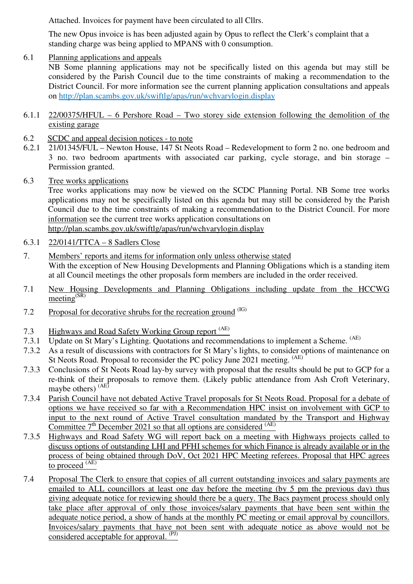Attached. Invoices for payment have been circulated to all Cllrs.

The new Opus invoice is has been adjusted again by Opus to reflect the Clerk's complaint that a standing charge was being applied to MPANS with 0 consumption.

6.1 Planning applications and appeals

NB Some planning applications may not be specifically listed on this agenda but may still be considered by the Parish Council due to the time constraints of making a recommendation to the District Council. For more information see the current planning application consultations and appeals on http://plan.scambs.gov.uk/swiftlg/apas/run/wchvarylogin.display

- 6.1.1 22/00375/HFUL 6 Pershore Road Two storey side extension following the demolition of the existing garage
- 6.2 SCDC and appeal decision notices to note
- 6.2.1 21/01345/FUL Newton House, 147 St Neots Road Redevelopment to form 2 no. one bedroom and 3 no. two bedroom apartments with associated car parking, cycle storage, and bin storage – Permission granted.
- 6.3 Tree works applications

Tree works applications may now be viewed on the SCDC Planning Portal. NB Some tree works applications may not be specifically listed on this agenda but may still be considered by the Parish Council due to the time constraints of making a recommendation to the District Council. For more information see the current tree works application consultations on http://plan.scambs.gov.uk/swiftlg/apas/run/wchvarylogin.display

- 6.3.1 22/0141/TTCA 8 Sadlers Close
- 7. Members' reports and items for information only unless otherwise stated With the exception of New Housing Developments and Planning Obligations which is a standing item at all Council meetings the other proposals form members are included in the order received.
- 7.1 New Housing Developments and Planning Obligations including update from the HCCWG meeting $(SR)$
- 7.2 Proposal for decorative shrubs for the recreation ground <sup>(IG)</sup>
- 7.3 Highways and Road Safety Working Group report <sup>(AE)</sup>
- 7.3.1 Update on St Mary's Lighting. Quotations and recommendations to implement a Scheme. (AE)
- 7.3.2 As a result of discussions with contractors for St Mary's lights, to consider options of maintenance on St Neots Road. Proposal to reconsider the PC policy June 2021 meeting. (AE)
- 7.3.3 Conclusions of St Neots Road lay-by survey with proposal that the results should be put to GCP for a re-think of their proposals to remove them. (Likely public attendance from Ash Croft Veterinary, maybe others)<sup>(AE)</sup>
- 7.3.4 Parish Council have not debated Active Travel proposals for St Neots Road. Proposal for a debate of options we have received so far with a Recommendation HPC insist on involvement with GCP to input to the next round of Active Travel consultation mandated by the Transport and Highway Committee  $7<sup>th</sup>$  December 2021 so that all options are considered  $(AE)$
- 7.3.5 Highways and Road Safety WG will report back on a meeting with Highways projects called to discuss options of outstanding LHI and PFHI schemes for which Finance is already available or in the process of being obtained through DoV, Oct 2021 HPC Meeting referees. Proposal that HPC agrees to proceed  $(A\overline{E})$
- 7.4 Proposal The Clerk to ensure that copies of all current outstanding invoices and salary payments are emailed to ALL councillors at least one day before the meeting (by 5 pm the previous day) thus giving adequate notice for reviewing should there be a query. The Bacs payment process should only take place after approval of only those invoices/salary payments that have been sent within the adequate notice period, a show of hands at the monthly PC meeting or email approval by councillors. Invoices/salary payments that have not been sent with adequate notice as above would not be considered acceptable for approval. <sup>(PJ)</sup>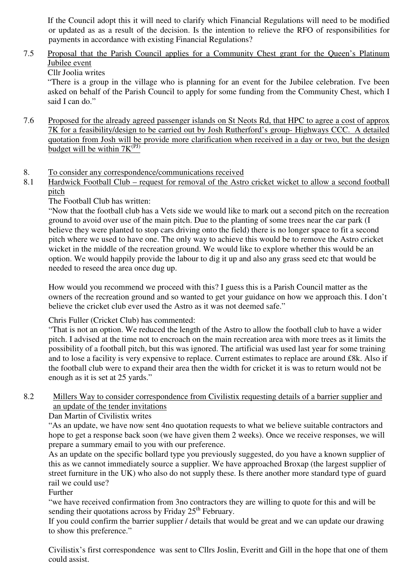If the Council adopt this it will need to clarify which Financial Regulations will need to be modified or updated as as a result of the decision. Is the intention to relieve the RFO of responsibilities for payments in accordance with existing Financial Regulations?

### 7.5 Proposal that the Parish Council applies for a Community Chest grant for the Queen's Platinum Jubilee event

Cllr Joolia writes

 "There is a group in the village who is planning for an event for the Jubilee celebration. I've been asked on behalf of the Parish Council to apply for some funding from the Community Chest, which I said I can do."

7.6 Proposed for the already agreed passenger islands on St Neots Rd, that HPC to agree a cost of approx 7K for a feasibility/design to be carried out by Josh Rutherford's group- Highways CCC. A detailed quotation from Josh will be provide more clarification when received in a day or two, but the design budget will be within  $7K^{\overline{(PJ)}}$ 

### 8. To consider any correspondence/communications received

8.1 Hardwick Football Club – request for removal of the Astro cricket wicket to allow a second football pitch

### The Football Club has written:

"Now that the football club has a Vets side we would like to mark out a second pitch on the recreation ground to avoid over use of the main pitch. Due to the planting of some trees near the car park (I believe they were planted to stop cars driving onto the field) there is no longer space to fit a second pitch where we used to have one. The only way to achieve this would be to remove the Astro cricket wicket in the middle of the recreation ground. We would like to explore whether this would be an option. We would happily provide the labour to dig it up and also any grass seed etc that would be needed to reseed the area once dug up.

How would you recommend we proceed with this? I guess this is a Parish Council matter as the owners of the recreation ground and so wanted to get your guidance on how we approach this. I don't believe the cricket club ever used the Astro as it was not deemed safe."

### Chris Fuller (Cricket Club) has commented:

"That is not an option. We reduced the length of the Astro to allow the football club to have a wider pitch. I advised at the time not to encroach on the main recreation area with more trees as it limits the possibility of a football pitch, but this was ignored. The artificial was used last year for some training and to lose a facility is very expensive to replace. Current estimates to replace are around £8k. Also if the football club were to expand their area then the width for cricket it is was to return would not be enough as it is set at 25 yards."

### 8.2 Millers Way to consider correspondence from Civilistix requesting details of a barrier supplier and an update of the tender invitations

Dan Martin of Civilistix writes

"As an update, we have now sent 4no quotation requests to what we believe suitable contractors and hope to get a response back soon (we have given them 2 weeks). Once we receive responses, we will prepare a summary email to you with our preference.

As an update on the specific bollard type you previously suggested, do you have a known supplier of this as we cannot immediately source a supplier. We have approached Broxap (the largest supplier of street furniture in the UK) who also do not supply these. Is there another more standard type of guard rail we could use?

### Further

"we have received confirmation from 3no contractors they are willing to quote for this and will be sending their quotations across by Friday  $25<sup>th</sup>$  February.

If you could confirm the barrier supplier / details that would be great and we can update our drawing to show this preference."

Civilistix's first correspondence was sent to Cllrs Joslin, Everitt and Gill in the hope that one of them could assist.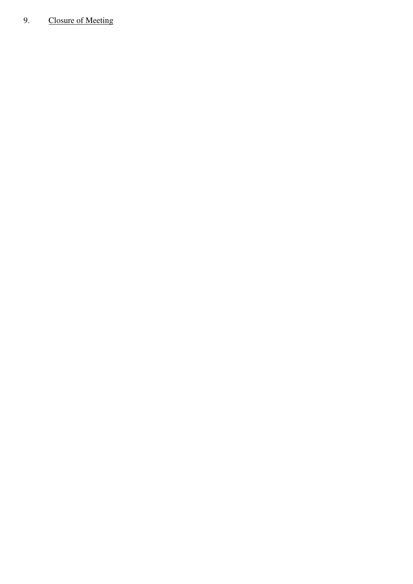## 9. Closure of Meeting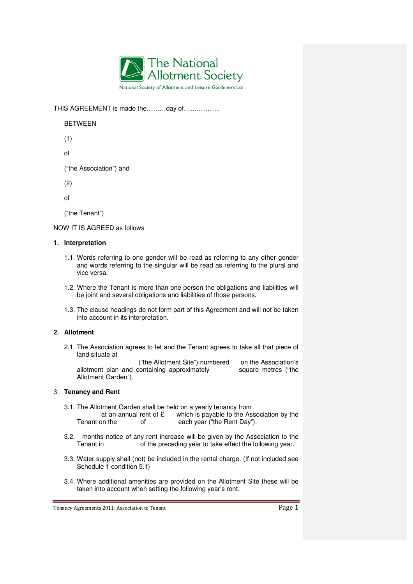

THIS AGREEMENT is made the………day of……………..

BETWEEN

(1)

of

("the Association") and

(2)

of

("the Tenant")

NOW IT IS AGREED as follows

#### **1. Interpretation**

- 1.1. Words referring to one gender will be read as referring to any other gender and words referring to the singular will be read as referring to the plural and vice versa.
- 1.2. Where the Tenant is more than one person the obligations and liabilities will be joint and several obligations and liabilities of those persons.
- 1.3. The clause headings do not form part of this Agreement and will not be taken into account in its interpretation.

#### **2. Allotment**

2.1. The Association agrees to let and the Tenant agrees to take all that piece of land situate at

 ("the Allotment Site") numbered on the Association's allotment plan and containing approximately square metres ("the Allotment Garden").

#### 3. **Tenancy and Rent**

- 3.1. The Allotment Garden shall be held on a yearly tenancy from at an annual rent of  $\mathfrak E$  which is payable to the Association by the Tenant on the of the Rent vear ("the Rent Day"). each year ("the Rent Day").
- 3.2. months notice of any rent increase will be given by the Association to the Tenant in of the preceding year to take effect the following year.
- 3.3. Water supply shall (not) be included in the rental charge. (If not included see Schedule 1 condition 5.1)
- 3.4. Where additional amenities are provided on the Allotment Site these will be taken into account when setting the following year's rent.

Tenancy Agreements 2011: Association to Tenant **Page 1**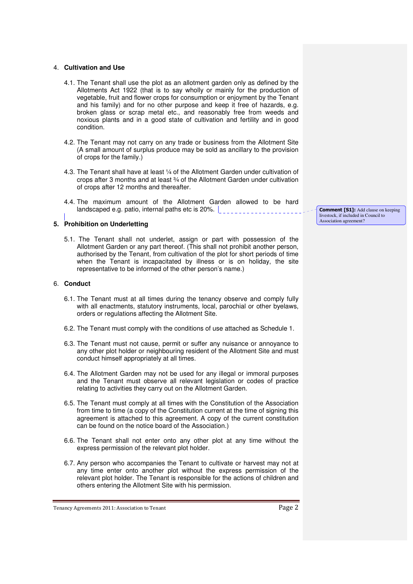#### 4. **Cultivation and Use**

- 4.1. The Tenant shall use the plot as an allotment garden only as defined by the Allotments Act 1922 (that is to say wholly or mainly for the production of vegetable, fruit and flower crops for consumption or enjoyment by the Tenant and his family) and for no other purpose and keep it free of hazards, e.g. broken glass or scrap metal etc., and reasonably free from weeds and noxious plants and in a good state of cultivation and fertility and in good condition.
- 4.2. The Tenant may not carry on any trade or business from the Allotment Site (A small amount of surplus produce may be sold as ancillary to the provision of crops for the family.)
- 4.3. The Tenant shall have at least ¼ of the Allotment Garden under cultivation of crops after 3 months and at least ¾ of the Allotment Garden under cultivation of crops after 12 months and thereafter.
- 4.4. The maximum amount of the Allotment Garden allowed to be hard landscaped e.g. patio, internal paths etc is 20%.

#### **5. Prohibition on Underletting**

5.1. The Tenant shall not underlet, assign or part with possession of the Allotment Garden or any part thereof. (This shall not prohibit another person, authorised by the Tenant, from cultivation of the plot for short periods of time when the Tenant is incapacitated by illness or is on holiday, the site representative to be informed of the other person's name.)

#### 6. **Conduct**

- 6.1. The Tenant must at all times during the tenancy observe and comply fully with all enactments, statutory instruments, local, parochial or other byelaws, orders or regulations affecting the Allotment Site.
- 6.2. The Tenant must comply with the conditions of use attached as Schedule 1.
- 6.3. The Tenant must not cause, permit or suffer any nuisance or annoyance to any other plot holder or neighbouring resident of the Allotment Site and must conduct himself appropriately at all times.
- 6.4. The Allotment Garden may not be used for any illegal or immoral purposes and the Tenant must observe all relevant legislation or codes of practice relating to activities they carry out on the Allotment Garden.
- 6.5. The Tenant must comply at all times with the Constitution of the Association from time to time (a copy of the Constitution current at the time of signing this agreement is attached to this agreement. A copy of the current constitution can be found on the notice board of the Association.)
- 6.6. The Tenant shall not enter onto any other plot at any time without the express permission of the relevant plot holder.
- 6.7. Any person who accompanies the Tenant to cultivate or harvest may not at any time enter onto another plot without the express permission of the relevant plot holder. The Tenant is responsible for the actions of children and others entering the Allotment Site with his permission.

Tenancy Agreements 2011: Association to Tenant Page 2

**Comment [S1]:** Add clause on keeping livestock, if included in Council to Association agreement?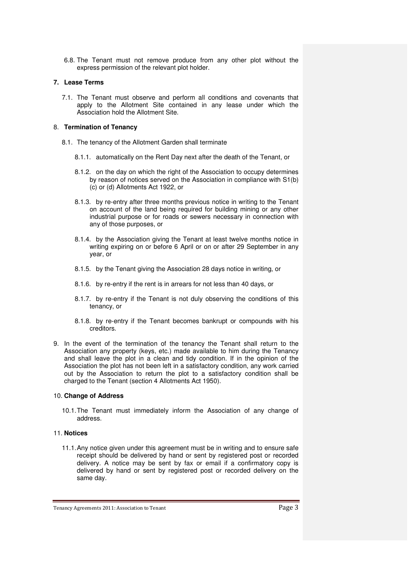6.8. The Tenant must not remove produce from any other plot without the express permission of the relevant plot holder.

#### **7. Lease Terms**

7.1. The Tenant must observe and perform all conditions and covenants that apply to the Allotment Site contained in any lease under which the Association hold the Allotment Site.

#### 8. **Termination of Tenancy**

- 8.1. The tenancy of the Allotment Garden shall terminate
	- 8.1.1. automatically on the Rent Day next after the death of the Tenant, or
	- 8.1.2. on the day on which the right of the Association to occupy determines by reason of notices served on the Association in compliance with S1(b) (c) or (d) Allotments Act 1922, or
	- 8.1.3. by re-entry after three months previous notice in writing to the Tenant on account of the land being required for building mining or any other industrial purpose or for roads or sewers necessary in connection with any of those purposes, or
	- 8.1.4. by the Association giving the Tenant at least twelve months notice in writing expiring on or before 6 April or on or after 29 September in any year, or
	- 8.1.5. by the Tenant giving the Association 28 days notice in writing, or
	- 8.1.6. by re-entry if the rent is in arrears for not less than 40 days, or
	- 8.1.7. by re-entry if the Tenant is not duly observing the conditions of this tenancy, or
	- 8.1.8. by re-entry if the Tenant becomes bankrupt or compounds with his creditors.
- 9. In the event of the termination of the tenancy the Tenant shall return to the Association any property (keys, etc.) made available to him during the Tenancy and shall leave the plot in a clean and tidy condition. If in the opinion of the Association the plot has not been left in a satisfactory condition, any work carried out by the Association to return the plot to a satisfactory condition shall be charged to the Tenant (section 4 Allotments Act 1950).

#### 10. **Change of Address**

10.1. The Tenant must immediately inform the Association of any change of address.

#### 11. **Notices**

11.1. Any notice given under this agreement must be in writing and to ensure safe receipt should be delivered by hand or sent by registered post or recorded delivery. A notice may be sent by fax or email if a confirmatory copy is delivered by hand or sent by registered post or recorded delivery on the same day.

Tenancy Agreements 2011: Association to Tenant **Page 3** Page 3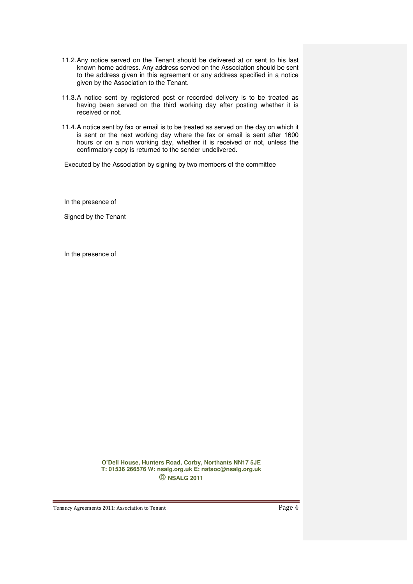- 11.2. Any notice served on the Tenant should be delivered at or sent to his last known home address. Any address served on the Association should be sent to the address given in this agreement or any address specified in a notice given by the Association to the Tenant.
- 11.3. A notice sent by registered post or recorded delivery is to be treated as having been served on the third working day after posting whether it is received or not.
- 11.4. A notice sent by fax or email is to be treated as served on the day on which it is sent or the next working day where the fax or email is sent after 1600 hours or on a non working day, whether it is received or not, unless the confirmatory copy is returned to the sender undelivered.

Executed by the Association by signing by two members of the committee

In the presence of

Signed by the Tenant

In the presence of

**O'Dell House, Hunters Road, Corby, Northants NN17 5JE T: 01536 266576 W: nsalg.org.uk E: natsoc@nsalg.org.uk**  © **NSALG 2011**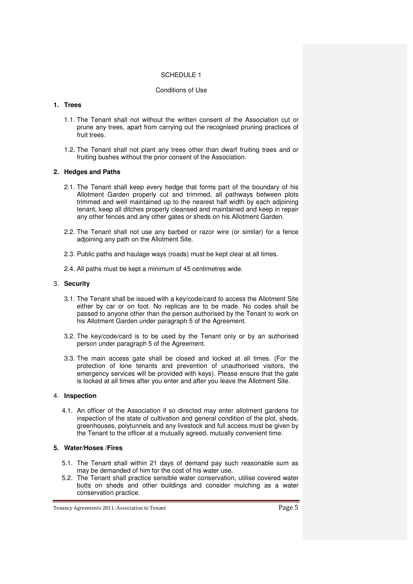#### SCHEDULE 1

#### Conditions of Use

#### **1. Trees**

- 1.1. The Tenant shall not without the written consent of the Association cut or prune any trees, apart from carrying out the recognised pruning practices of fruit trees.
- 1.2. The Tenant shall not plant any trees other than dwarf fruiting trees and or fruiting bushes without the prior consent of the Association.

#### **2. Hedges and Paths**

- 2.1. The Tenant shall keep every hedge that forms part of the boundary of his Allotment Garden properly cut and trimmed, all pathways between plots trimmed and well maintained up to the nearest half width by each adjoining tenant, keep all ditches properly cleansed and maintained and keep in repair any other fences and any other gates or sheds on his Allotment Garden.
- 2.2. The Tenant shall not use any barbed or razor wire (or similar) for a fence adjoining any path on the Allotment Site.
- 2.3. Public paths and haulage ways (roads) must be kept clear at all times.
- 2.4. All paths must be kept a minimum of 45 centimetres wide.

#### 3. **Security**

- 3.1. The Tenant shall be issued with a key/code/card to access the Allotment Site either by car or on foot. No replicas are to be made. No codes shall be passed to anyone other than the person authorised by the Tenant to work on his Allotment Garden under paragraph 5 of the Agreement.
- 3.2. The key/code/card is to be used by the Tenant only or by an authorised person under paragraph 5 of the Agreement.
- 3.3. The main access gate shall be closed and locked at all times. (For the protection of lone tenants and prevention of unauthorised visitors, the emergency services will be provided with keys). Please ensure that the gate is locked at all times after you enter and after you leave the Allotment Site.

#### 4. **Inspection**

4.1. An officer of the Association if so directed may enter allotment gardens for inspection of the state of cultivation and general condition of the plot, sheds, greenhouses, polytunnels and any livestock and full access must be given by the Tenant to the officer at a mutually agreed, mutually convenient time.

#### **5. Water/Hoses /Fires**

- 5.1. The Tenant shall within 21 days of demand pay such reasonable sum as may be demanded of him for the cost of his water use.
- 5.2. The Tenant shall practice sensible water conservation, utilise covered water butts on sheds and other buildings and consider mulching as a water conservation practice.

Tenancy Agreements 2011: Association to Tenant Page 5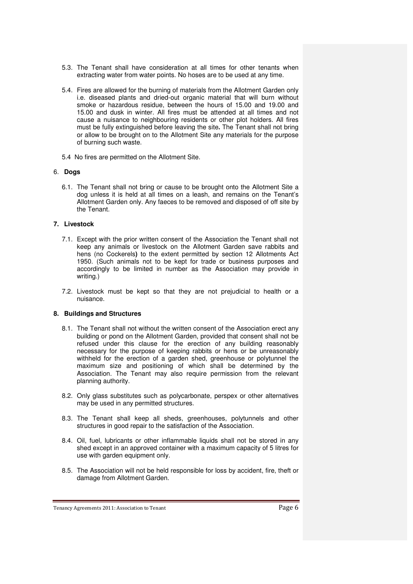- 5.3. The Tenant shall have consideration at all times for other tenants when extracting water from water points. No hoses are to be used at any time.
- 5.4. Fires are allowed for the burning of materials from the Allotment Garden only i.e. diseased plants and dried-out organic material that will burn without smoke or hazardous residue, between the hours of 15.00 and 19.00 and 15.00 and dusk in winter. All fires must be attended at all times and not cause a nuisance to neighbouring residents or other plot holders. All fires must be fully extinguished before leaving the site**.** The Tenant shall not bring or allow to be brought on to the Allotment Site any materials for the purpose of burning such waste.
- 5.4 No fires are permitted on the Allotment Site.

#### 6. **Dogs**

6.1. The Tenant shall not bring or cause to be brought onto the Allotment Site a dog unless it is held at all times on a leash, and remains on the Tenant's Allotment Garden only. Any faeces to be removed and disposed of off site by the Tenant.

#### **7. Livestock**

- 7.1. Except with the prior written consent of the Association the Tenant shall not keep any animals or livestock on the Allotment Garden save rabbits and hens (no Cockerels**)** to the extent permitted by section 12 Allotments Act 1950. (Such animals not to be kept for trade or business purposes and accordingly to be limited in number as the Association may provide in writing.)
- 7.2. Livestock must be kept so that they are not prejudicial to health or a nuisance.

#### **8. Buildings and Structures**

- 8.1. The Tenant shall not without the written consent of the Association erect any building or pond on the Allotment Garden, provided that consent shall not be refused under this clause for the erection of any building reasonably necessary for the purpose of keeping rabbits or hens or be unreasonably withheld for the erection of a garden shed, greenhouse or polytunnel the maximum size and positioning of which shall be determined by the Association. The Tenant may also require permission from the relevant planning authority.
- 8.2. Only glass substitutes such as polycarbonate, perspex or other alternatives may be used in any permitted structures.
- 8.3. The Tenant shall keep all sheds, greenhouses, polytunnels and other structures in good repair to the satisfaction of the Association.
- 8.4. Oil, fuel, lubricants or other inflammable liquids shall not be stored in any shed except in an approved container with a maximum capacity of 5 litres for use with garden equipment only.
- 8.5. The Association will not be held responsible for loss by accident, fire, theft or damage from Allotment Garden.

Tenancy Agreements 2011: Association to Tenant Page 6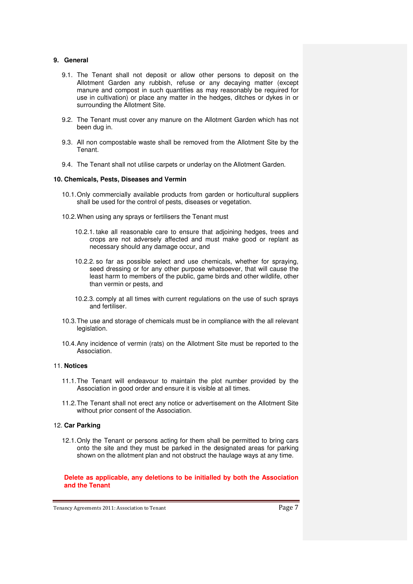#### **9. General**

- 9.1. The Tenant shall not deposit or allow other persons to deposit on the Allotment Garden any rubbish, refuse or any decaying matter (except manure and compost in such quantities as may reasonably be required for use in cultivation) or place any matter in the hedges, ditches or dykes in or surrounding the Allotment Site.
- 9.2. The Tenant must cover any manure on the Allotment Garden which has not been dug in.
- 9.3. All non compostable waste shall be removed from the Allotment Site by the Tenant.
- 9.4. The Tenant shall not utilise carpets or underlay on the Allotment Garden.

#### **10. Chemicals, Pests, Diseases and Vermin**

- 10.1. Only commercially available products from garden or horticultural suppliers shall be used for the control of pests, diseases or vegetation.
- 10.2. When using any sprays or fertilisers the Tenant must
	- 10.2.1. take all reasonable care to ensure that adjoining hedges, trees and crops are not adversely affected and must make good or replant as necessary should any damage occur, and
	- 10.2.2. so far as possible select and use chemicals, whether for spraying, seed dressing or for any other purpose whatsoever, that will cause the least harm to members of the public, game birds and other wildlife, other than vermin or pests, and
	- 10.2.3. comply at all times with current regulations on the use of such sprays and fertiliser.
- 10.3. The use and storage of chemicals must be in compliance with the all relevant legislation.
- 10.4. Any incidence of vermin (rats) on the Allotment Site must be reported to the Association.

#### 11. **Notices**

- 11.1. The Tenant will endeavour to maintain the plot number provided by the Association in good order and ensure it is visible at all times.
- 11.2. The Tenant shall not erect any notice or advertisement on the Allotment Site without prior consent of the Association.

#### 12. **Car Parking**

12.1. Only the Tenant or persons acting for them shall be permitted to bring cars onto the site and they must be parked in the designated areas for parking shown on the allotment plan and not obstruct the haulage ways at any time.

**Delete as applicable, any deletions to be initialled by both the Association and the Tenant**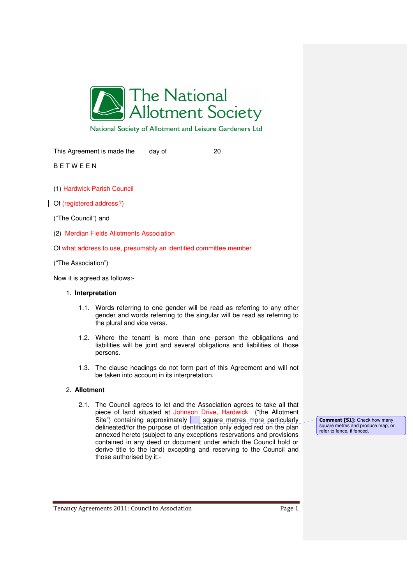

National Society of Allotment and Leisure Gardeners Ltd

This Agreement is made the day of 20

B E T W E E N

- (1) Hardwick Parish Council
- Of (registered address?)
	- ("The Council") and
	- (2) Merdian Fields Allotments Association
	- Of what address to use, presumably an identified committee member
	- ("The Association")

Now it is agreed as follows:-

#### 1. **Interpretation**

- 1.1. Words referring to one gender will be read as referring to any other gender and words referring to the singular will be read as referring to the plural and vice versa.
- 1.2. Where the tenant is more than one person the obligations and liabilities will be joint and several obligations and liabilities of those persons.
- 1.3. The clause headings do not form part of this Agreement and will not be taken into account in its interpretation.

#### 2. **Allotment**

2.1. The Council agrees to let and the Association agrees to take all that piece of land situated at Johnson Drive, Hardwick ("the Allotment Site") containing approximately square metres more particularly delineated/for the purpose of identification only edged red on the plan annexed hereto (subject to any exceptions reservations and provisions contained in any deed or document under which the Council hold or derive title to the land) excepting and reserving to the Council and those authorised by it:-

**Comment [S1]:** Check how many square metres and produce map, or refer to fence, if fenced.

Tenancy Agreements 2011: Council to Association Page 1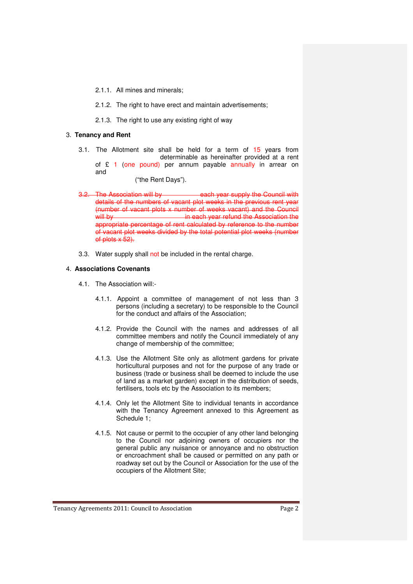- 2.1.1. All mines and minerals;
- 2.1.2. The right to have erect and maintain advertisements:
- 2.1.3. The right to use any existing right of way

#### 3. **Tenancy and Rent**

- 3.1. The Allotment site shall be held for a term of 15 years from determinable as hereinafter provided at a rent of £ 1 (one pound) per annum payable annually in arrear on and
	- ("the Rent Days").
- 3.2. The Association will by each year supply the Council with details of the numbers of vacant plot weeks in the previous rent year (number of vacant plots x number of weeks vacant) and the Council in each year refund the Association the appropriate percentage of rent calculated by reference to the number of vacant plot weeks divided by the total potential plot weeks (number of plots  $\times$  52).
- 3.3. Water supply shall not be included in the rental charge.

#### 4. **Associations Covenants**

- 4.1. The Association will:-
	- 4.1.1. Appoint a committee of management of not less than 3 persons (including a secretary) to be responsible to the Council for the conduct and affairs of the Association;
	- 4.1.2. Provide the Council with the names and addresses of all committee members and notify the Council immediately of any change of membership of the committee;
	- 4.1.3. Use the Allotment Site only as allotment gardens for private horticultural purposes and not for the purpose of any trade or business (trade or business shall be deemed to include the use of land as a market garden) except in the distribution of seeds, fertilisers, tools etc by the Association to its members;
	- 4.1.4. Only let the Allotment Site to individual tenants in accordance with the Tenancy Agreement annexed to this Agreement as Schedule 1;
	- 4.1.5. Not cause or permit to the occupier of any other land belonging to the Council nor adjoining owners of occupiers nor the general public any nuisance or annoyance and no obstruction or encroachment shall be caused or permitted on any path or roadway set out by the Council or Association for the use of the occupiers of the Allotment Site;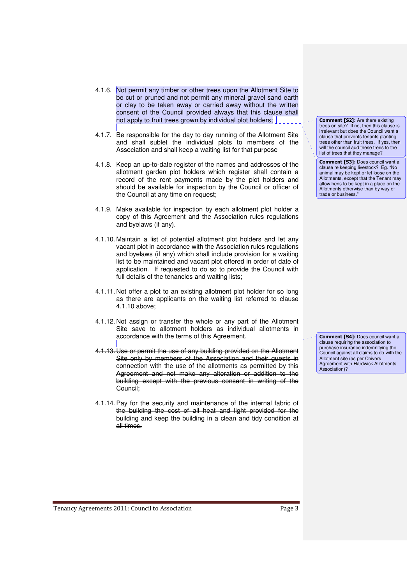- 4.1.6. Not permit any timber or other trees upon the Allotment Site to be cut or pruned and not permit any mineral gravel sand earth or clay to be taken away or carried away without the written consent of the Council provided always that this clause shall not apply to fruit trees grown by individual plot holders;
- 4.1.7. Be responsible for the day to day running of the Allotment Site and shall sublet the individual plots to members of the Association and shall keep a waiting list for that purpose
- 4.1.8. Keep an up-to-date register of the names and addresses of the allotment garden plot holders which register shall contain a record of the rent payments made by the plot holders and should be available for inspection by the Council or officer of the Council at any time on request;
- 4.1.9. Make available for inspection by each allotment plot holder a copy of this Agreement and the Association rules regulations and byelaws (if any).
- 4.1.10. Maintain a list of potential allotment plot holders and let any vacant plot in accordance with the Association rules regulations and byelaws (if any) which shall include provision for a waiting list to be maintained and vacant plot offered in order of date of application. If requested to do so to provide the Council with full details of the tenancies and waiting lists;
- 4.1.11. Not offer a plot to an existing allotment plot holder for so long as there are applicants on the waiting list referred to clause 4.1.10 above;
- 4.1.12. Not assign or transfer the whole or any part of the Allotment Site save to allotment holders as individual allotments in accordance with the terms of this Agreement.
- 4.1.13. Use or permit the use of any building provided on the Allotment Site only by members of the Association and their quests in connection with the use of the allotments as permitted by this Agreement and not make any alteration or addition to the building except with the previous consent in writing of the Council;
- 4.1.14.Pay for the security and maintenance of the internal fabric of the building the cost of all heat and light provided for the building and keep the building in a clean and tidy condition at all times.

**Comment [S2]:** Are there existing trees on site? If no, then this clause is irrelevant but does the Council want a clause that prevents tenants planting trees other than fruit trees. If yes, then will the council add these trees to the list of trees that they manage?

**Comment [S3]:** Does council want a clause re keeping livestock? Eg. "No animal may be kept or let loose on the Allotments, except that the Tenant may allow hens to be kept in a place on the Allotments otherwise than by way of trade or business."

**Comment [S4]:** Does council want a clause requiring the association to purchase insurance indemnifying the Council against all claims to do with the Allotment site (as per Chivers Agreement with Hardwick Allotments Association)?

Tenancy Agreements 2011: Council to Association **Page 3**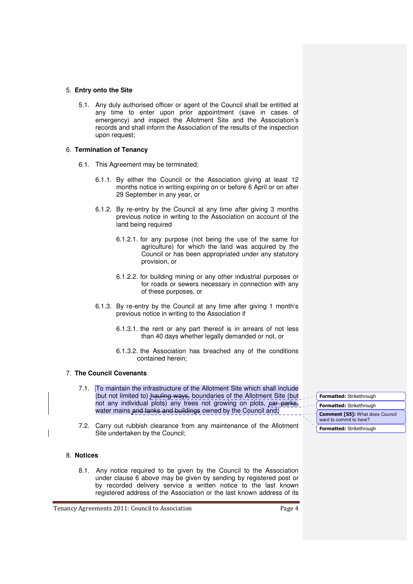#### 5. **Entry onto the Site**

5.1. Any duly authorised officer or agent of the Council shall be entitled at any time to enter upon prior appointment (save in cases of emergency) and inspect the Allotment Site and the Association's records and shall inform the Association of the results of the inspection upon request;

#### 6. **Termination of Tenancy**

- 6.1. This Agreement may be terminated;
	- 6.1.1. By either the Council or the Association giving at least 12 months notice in writing expiring on or before 6 April or on after 29 September in any year, or
	- 6.1.2. By re-entry by the Council at any time after giving 3 months previous notice in writing to the Association on account of the land being required
		- 6.1.2.1. for any purpose (not being the use of the same for agriculture) for which the land was acquired by the Council or has been appropriated under any statutory provision, or
		- 6.1.2.2. for building mining or any other industrial purposes or for roads or sewers necessary in connection with any of these purposes, or
	- 6.1.3. By re-entry by the Council at any time after giving 1 month's previous notice in writing to the Association if
		- 6.1.3.1. the rent or any part thereof is in arrears of not less than 40 days whether legally demanded or not, or
		- 6.1.3.2. the Association has breached any of the conditions contained herein;

#### 7. **The Council Covenants**

- 7.1. To maintain the infrastructure of the Allotment Site which shall include (but not limited to) hauling ways, boundaries of the Allotment Site (but not any individual plots) any trees not growing on plots, ear parks, water mains and tanks and buildings owned by the Council and;
- 7.2. Carry out rubbish clearance from any maintenance of the Allotment Site undertaken by the Council;

#### 8. **Notices**

8.1. Any notice required to be given by the Council to the Association under clause 6 above may be given by sending by registered post or by recorded delivery service a written notice to the last known registered address of the Association or the last known address of its

Tenancy Agreements 2011: Council to Association **Page 4** 

**Formatted:** Strikethrough **Formatted:** Strikethrough **Formatted:** Strikethrough **Comment [S5]:** What does Council want to commit to here?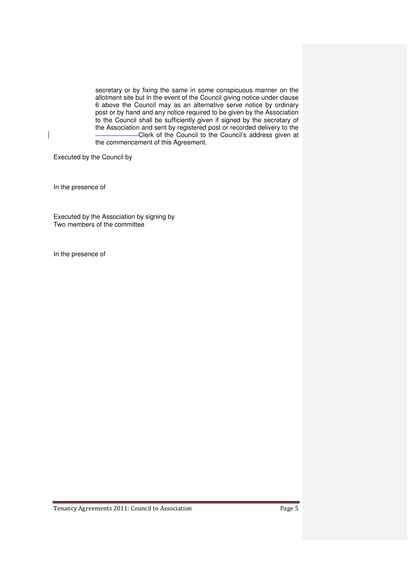secretary or by fixing the same in some conspicuous manner on the allotment site but in the event of the Council giving notice under clause 6 above the Council may as an alternative serve notice by ordinary post or by hand and any notice required to be given by the Association to the Council shall be sufficiently given if signed by the secretary of the Association and sent by registered post or recorded delivery to the Clerk of the Council to the Council's address given at the commencement of this Agreement.

Executed by the Council by

In the presence of

 $\overline{\phantom{a}}$ 

Executed by the Association by signing by Two members of the committee

In the presence of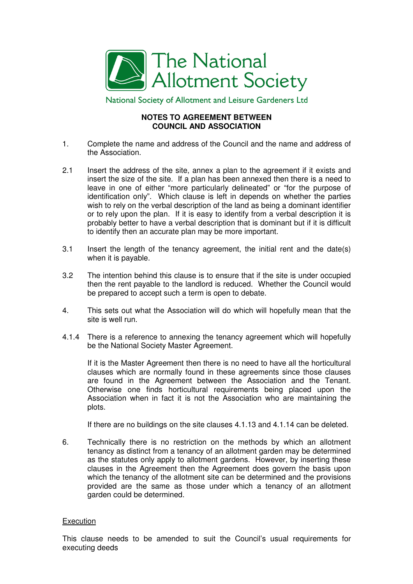

National Society of Allotment and Leisure Gardeners Ltd

### **NOTES TO AGREEMENT BETWEEN COUNCIL AND ASSOCIATION**

- 1. Complete the name and address of the Council and the name and address of the Association.
- 2.1 Insert the address of the site, annex a plan to the agreement if it exists and insert the size of the site. If a plan has been annexed then there is a need to leave in one of either "more particularly delineated" or "for the purpose of identification only". Which clause is left in depends on whether the parties wish to rely on the verbal description of the land as being a dominant identifier or to rely upon the plan. If it is easy to identify from a verbal description it is probably better to have a verbal description that is dominant but if it is difficult to identify then an accurate plan may be more important.
- 3.1 Insert the length of the tenancy agreement, the initial rent and the date(s) when it is payable.
- 3.2 The intention behind this clause is to ensure that if the site is under occupied then the rent payable to the landlord is reduced. Whether the Council would be prepared to accept such a term is open to debate.
- 4. This sets out what the Association will do which will hopefully mean that the site is well run.
- 4.1.4 There is a reference to annexing the tenancy agreement which will hopefully be the National Society Master Agreement.

 If it is the Master Agreement then there is no need to have all the horticultural clauses which are normally found in these agreements since those clauses are found in the Agreement between the Association and the Tenant. Otherwise one finds horticultural requirements being placed upon the Association when in fact it is not the Association who are maintaining the plots.

If there are no buildings on the site clauses 4.1.13 and 4.1.14 can be deleted.

6. Technically there is no restriction on the methods by which an allotment tenancy as distinct from a tenancy of an allotment garden may be determined as the statutes only apply to allotment gardens. However, by inserting these clauses in the Agreement then the Agreement does govern the basis upon which the tenancy of the allotment site can be determined and the provisions provided are the same as those under which a tenancy of an allotment garden could be determined.

### **Execution**

This clause needs to be amended to suit the Council's usual requirements for executing deeds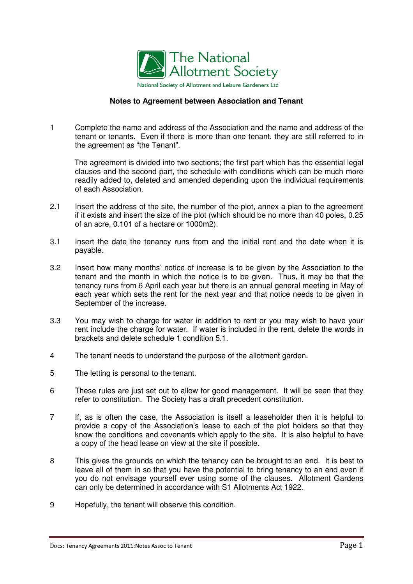

#### National Society of Allotment and Leisure Gardeners Ltd

#### **Notes to Agreement between Association and Tenant**

1 Complete the name and address of the Association and the name and address of the tenant or tenants. Even if there is more than one tenant, they are still referred to in the agreement as "the Tenant".

The agreement is divided into two sections; the first part which has the essential legal clauses and the second part, the schedule with conditions which can be much more readily added to, deleted and amended depending upon the individual requirements of each Association.

- 2.1 Insert the address of the site, the number of the plot, annex a plan to the agreement if it exists and insert the size of the plot (which should be no more than 40 poles, 0.25 of an acre, 0.101 of a hectare or 1000m2).
- 3.1 Insert the date the tenancy runs from and the initial rent and the date when it is payable.
- 3.2 Insert how many months' notice of increase is to be given by the Association to the tenant and the month in which the notice is to be given. Thus, it may be that the tenancy runs from 6 April each year but there is an annual general meeting in May of each year which sets the rent for the next year and that notice needs to be given in September of the increase.
- 3.3 You may wish to charge for water in addition to rent or you may wish to have your rent include the charge for water. If water is included in the rent, delete the words in brackets and delete schedule 1 condition 5.1.
- 4 The tenant needs to understand the purpose of the allotment garden.
- 5 The letting is personal to the tenant.
- 6 These rules are just set out to allow for good management. It will be seen that they refer to constitution. The Society has a draft precedent constitution.
- 7 If, as is often the case, the Association is itself a leaseholder then it is helpful to provide a copy of the Association's lease to each of the plot holders so that they know the conditions and covenants which apply to the site. It is also helpful to have a copy of the head lease on view at the site if possible.
- 8 This gives the grounds on which the tenancy can be brought to an end. It is best to leave all of them in so that you have the potential to bring tenancy to an end even if you do not envisage yourself ever using some of the clauses. Allotment Gardens can only be determined in accordance with S1 Allotments Act 1922.
- 9 Hopefully, the tenant will observe this condition.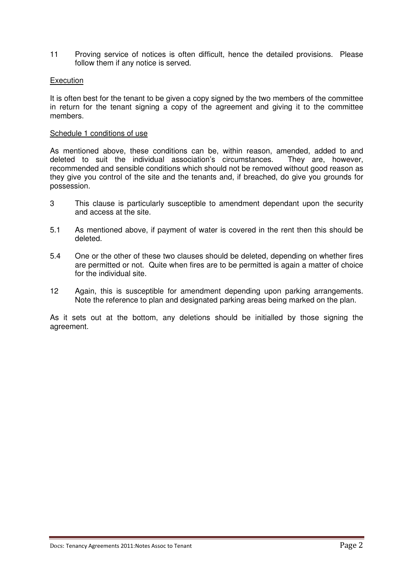11 Proving service of notices is often difficult, hence the detailed provisions. Please follow them if any notice is served.

#### Execution

It is often best for the tenant to be given a copy signed by the two members of the committee in return for the tenant signing a copy of the agreement and giving it to the committee members.

#### Schedule 1 conditions of use

As mentioned above, these conditions can be, within reason, amended, added to and deleted to suit the individual association's circumstances. They are, however, recommended and sensible conditions which should not be removed without good reason as they give you control of the site and the tenants and, if breached, do give you grounds for possession.

- 3 This clause is particularly susceptible to amendment dependant upon the security and access at the site.
- 5.1 As mentioned above, if payment of water is covered in the rent then this should be deleted.
- 5.4 One or the other of these two clauses should be deleted, depending on whether fires are permitted or not. Quite when fires are to be permitted is again a matter of choice for the individual site.
- 12 Again, this is susceptible for amendment depending upon parking arrangements. Note the reference to plan and designated parking areas being marked on the plan.

As it sets out at the bottom, any deletions should be initialled by those signing the agreement.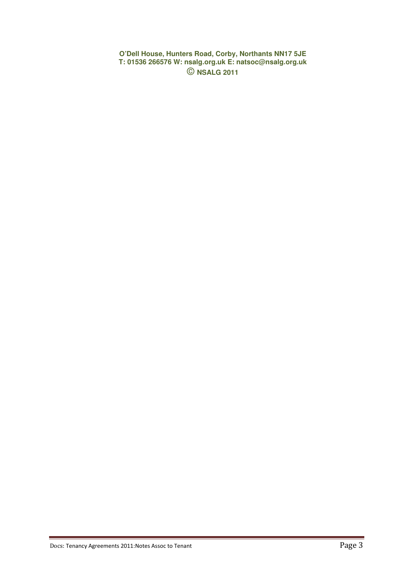**O'Dell House, Hunters Road, Corby, Northants NN17 5JE T: 01536 266576 W: nsalg.org.uk E: natsoc@nsalg.org.uk**  © **NSALG 2011**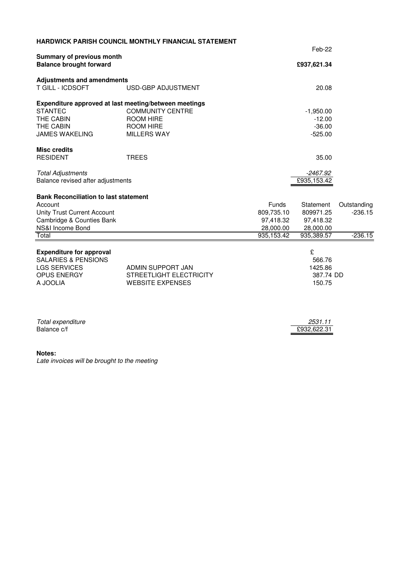|                                                       | <b>HARDWICK PARISH COUNCIL MONTHLY FINANCIAL STATEMENT</b> |              | Feb-22                 |             |
|-------------------------------------------------------|------------------------------------------------------------|--------------|------------------------|-------------|
| <b>Summary of previous month</b>                      |                                                            |              |                        |             |
| <b>Balance brought forward</b>                        |                                                            |              |                        |             |
| <b>Adjustments and amendments</b><br>T GILL - ICDSOFT | USD-GBP ADJUSTMENT                                         |              | 20.08                  |             |
|                                                       |                                                            |              |                        |             |
|                                                       | Expenditure approved at last meeting/between meetings      |              |                        |             |
| <b>STANTEC</b>                                        | <b>COMMUNITY CENTRE</b>                                    |              | $-1,950.00$            |             |
| THE CABIN                                             | <b>ROOM HIRE</b>                                           |              | $-12.00$               |             |
| THE CABIN                                             | ROOM HIRE                                                  |              | $-36.00$               |             |
| <b>JAMES WAKELING</b>                                 | <b>MILLERS WAY</b>                                         |              | $-525.00$              |             |
| <b>Misc credits</b>                                   |                                                            |              |                        |             |
| <b>RESIDENT</b>                                       | <b>TREES</b>                                               |              | 35.00                  |             |
| <b>Total Adjustments</b>                              |                                                            |              | $-2467.92$             |             |
| Balance revised after adjustments                     |                                                            | £935,153.42  |                        |             |
| <b>Bank Reconciliation to last statement</b>          |                                                            |              |                        |             |
| Account                                               |                                                            | <b>Funds</b> | Statement              | Outstanding |
| <b>Unity Trust Current Account</b>                    |                                                            | 809,735.10   | 809971.25              | $-236.15$   |
| Cambridge & Counties Bank                             |                                                            | 97,418.32    | 97,418.32              |             |
| NS&I Income Bond                                      |                                                            | 28,000.00    | 28,000.00              |             |
| Total                                                 |                                                            | 935,153.42   | 935,389.57             | $-236.15$   |
| <b>Expenditure for approval</b>                       |                                                            |              | £                      |             |
| <b>SALARIES &amp; PENSIONS</b>                        |                                                            |              | 566.76                 |             |
| <b>LGS SERVICES</b>                                   | ADMIN SUPPORT JAN                                          |              | 1425.86                |             |
| OPUS ENERGY                                           | STREETLIGHT ELECTRICITY                                    | 387.74 DD    |                        |             |
| A JOOLIA                                              | 150.75                                                     |              |                        |             |
|                                                       |                                                            |              |                        |             |
|                                                       |                                                            |              |                        |             |
| Total expenditure<br>Balance c/f                      |                                                            |              | 2531.11<br>£932,622.31 |             |
|                                                       |                                                            |              |                        |             |

#### **Notes:**

Late invoices will be brought to the meeting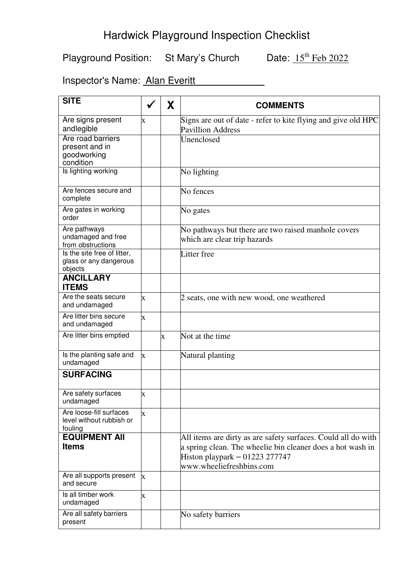# Hardwick Playground Inspection Checklist

Playground Position: St Mary's Church Date:  $15^{\text{th}}$  Feb 2022

Inspector's Name: Alan Everitt

| <b>SITE</b>                                                    |                         | X        | <b>COMMENTS</b>                                                                              |
|----------------------------------------------------------------|-------------------------|----------|----------------------------------------------------------------------------------------------|
| Are signs present<br>andlegible                                | X                       |          | Signs are out of date - refer to kite flying and give old HPC<br><b>Pavillion Address</b>    |
| Are road barriers                                              |                         |          | Unenclosed                                                                                   |
| present and in<br>goodworking                                  |                         |          |                                                                                              |
| condition                                                      |                         |          |                                                                                              |
| Is lighting working                                            |                         |          | No lighting                                                                                  |
| Are fences secure and<br>complete                              |                         |          | No fences                                                                                    |
| Are gates in working<br>order                                  |                         |          | No gates                                                                                     |
| Are pathways                                                   |                         |          | No pathways but there are two raised manhole covers                                          |
| undamaged and free<br>from obstructions                        |                         |          | which are clear trip hazards                                                                 |
| Is the site free of litter,                                    |                         |          | Litter free                                                                                  |
| glass or any dangerous<br>objects                              |                         |          |                                                                                              |
| <b>ANCILLARY</b><br><b>ITEMS</b>                               |                         |          |                                                                                              |
| Are the seats secure<br>and undamaged                          | $\mathbf X$             |          | 2 seats, one with new wood, one weathered                                                    |
| Are litter bins secure<br>and undamaged                        | $\overline{\mathbf{X}}$ |          |                                                                                              |
| Are litter bins emptied                                        |                         | $\bf{X}$ | Not at the time                                                                              |
| Is the planting safe and<br>undamaged                          | $\bf{X}$                |          | Natural planting                                                                             |
| <b>SURFACING</b>                                               |                         |          |                                                                                              |
| Are safety surfaces<br>undamaged                               | $\bf X$                 |          |                                                                                              |
| Are loose-fill surfaces<br>level without rubbish or<br>fouling | $\bf{X}$                |          |                                                                                              |
| <b>EQUIPMENT AII</b>                                           |                         |          | All items are dirty as are safety surfaces. Could all do with                                |
| <b>Items</b>                                                   |                         |          | a spring clean. The wheelie bin cleaner does a hot wash in<br>Histon playpark $-01223277747$ |
|                                                                |                         |          | www.wheeliefreshbins.com                                                                     |
| Are all supports present<br>and secure                         | X                       |          |                                                                                              |
| Is all timber work<br>undamaged                                | $\bf{X}$                |          |                                                                                              |
| Are all safety barriers<br>present                             |                         |          | No safety barriers                                                                           |